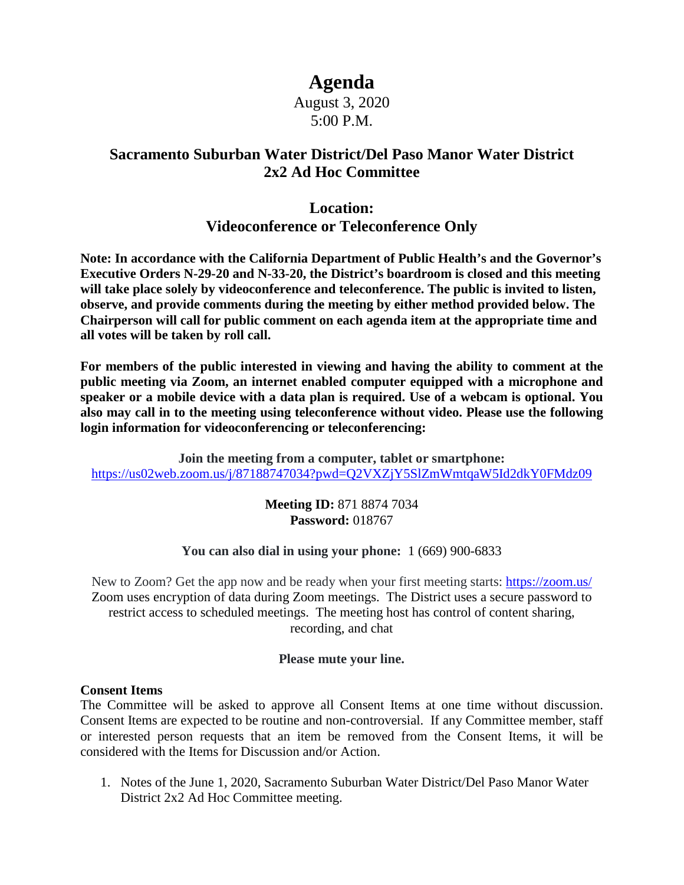# **Agenda**

### August 3, 2020 5:00 P.M.

## **Sacramento Suburban Water District/Del Paso Manor Water District 2x2 Ad Hoc Committee**

# **Location: Videoconference or Teleconference Only**

**Note: In accordance with the California Department of Public Health's and the Governor's Executive Orders N-29-20 and N-33-20, the District's boardroom is closed and this meeting will take place solely by videoconference and teleconference. The public is invited to listen, observe, and provide comments during the meeting by either method provided below. The Chairperson will call for public comment on each agenda item at the appropriate time and all votes will be taken by roll call.**

**For members of the public interested in viewing and having the ability to comment at the public meeting via Zoom, an internet enabled computer equipped with a microphone and speaker or a mobile device with a data plan is required. Use of a webcam is optional. You also may call in to the meeting using teleconference without video. Please use the following login information for videoconferencing or teleconferencing:**

**Join the meeting from a computer, tablet or smartphone:** <https://us02web.zoom.us/j/87188747034?pwd=Q2VXZjY5SlZmWmtqaW5Id2dkY0FMdz09>

> **Meeting ID:** 871 8874 7034 **Password:** 018767

#### **You can also dial in using your phone:** 1 (669) 900-6833

New to Zoom? Get the app now and be ready when your first meeting starts:<https://zoom.us/> Zoom uses encryption of data during Zoom meetings. The District uses a secure password to restrict access to scheduled meetings. The meeting host has control of content sharing, recording, and chat

#### **Please mute your line.**

#### **Consent Items**

The Committee will be asked to approve all Consent Items at one time without discussion. Consent Items are expected to be routine and non-controversial. If any Committee member, staff or interested person requests that an item be removed from the Consent Items, it will be considered with the Items for Discussion and/or Action.

1. Notes of the June 1, 2020, Sacramento Suburban Water District/Del Paso Manor Water District 2x2 Ad Hoc Committee meeting.